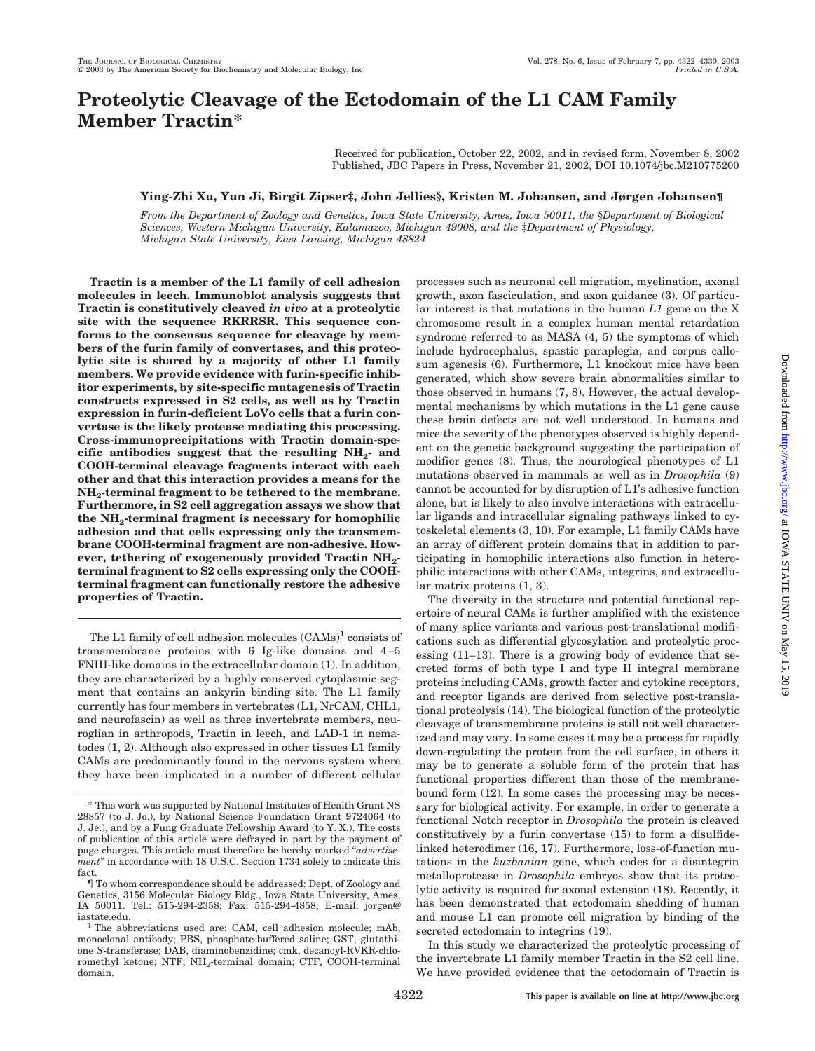# **Proteolytic Cleavage of the Ectodomain of the L1 CAM Family Member Tractin\***

Received for publication, October 22, 2002, and in revised form, November 8, 2002 Published, JBC Papers in Press, November 21, 2002, DOI 10.1074/jbc.M210775200

## **Ying-Zhi Xu, Yun Ji, Birgit Zipser‡, John Jellies§, Kristen M. Johansen, and Jørgen Johansen¶**

*From the Department of Zoology and Genetics, Iowa State University, Ames, Iowa 50011, the* §*Department of Biological Sciences, Western Michigan University, Kalamazoo, Michigan 49008, and the* ‡*Department of Physiology, Michigan State University, East Lansing, Michigan 48824*

**Tractin is a member of the L1 family of cell adhesion molecules in leech. Immunoblot analysis suggests that Tractin is constitutively cleaved** *in vivo* **at a proteolytic site with the sequence RKRRSR. This sequence conforms to the consensus sequence for cleavage by members of the furin family of convertases, and this proteolytic site is shared by a majority of other L1 family members. We provide evidence with furin-specific inhibitor experiments, by site-specific mutagenesis of Tractin constructs expressed in S2 cells, as well as by Tractin expression in furin-deficient LoVo cells that a furin convertase is the likely protease mediating this processing. Cross-immunoprecipitations with Tractin domain-specific antibodies suggest that the resulting NH2- and COOH-terminal cleavage fragments interact with each other and that this interaction provides a means for the NH2-terminal fragment to be tethered to the membrane. Furthermore, in S2 cell aggregation assays we show that the NH2-terminal fragment is necessary for homophilic adhesion and that cells expressing only the transmembrane COOH-terminal fragment are non-adhesive. However, tethering of exogeneously provided Tractin NH2 terminal fragment to S2 cells expressing only the COOHterminal fragment can functionally restore the adhesive properties of Tractin.**

The L1 family of cell adhesion molecules  $(CAMs)^1$  consists of transmembrane proteins with 6 Ig-like domains and 4–5 FNIII-like domains in the extracellular domain (1). In addition, they are characterized by a highly conserved cytoplasmic segment that contains an ankyrin binding site. The L1 family currently has four members in vertebrates (L1, NrCAM, CHL1, and neurofascin) as well as three invertebrate members, neuroglian in arthropods, Tractin in leech, and LAD-1 in nematodes (1, 2). Although also expressed in other tissues L1 family CAMs are predominantly found in the nervous system where they have been implicated in a number of different cellular processes such as neuronal cell migration, myelination, axonal growth, axon fasciculation, and axon guidance (3). Of particular interest is that mutations in the human *L1* gene on the X chromosome result in a complex human mental retardation syndrome referred to as MASA (4, 5) the symptoms of which include hydrocephalus, spastic paraplegia, and corpus callosum agenesis (6). Furthermore, L1 knockout mice have been generated, which show severe brain abnormalities similar to those observed in humans (7, 8). However, the actual developmental mechanisms by which mutations in the L1 gene cause these brain defects are not well understood. In humans and mice the severity of the phenotypes observed is highly dependent on the genetic background suggesting the participation of modifier genes (8). Thus, the neurological phenotypes of L1 mutations observed in mammals as well as in *Drosophila* (9) cannot be accounted for by disruption of L1's adhesive function alone, but is likely to also involve interactions with extracellular ligands and intracellular signaling pathways linked to cytoskeletal elements (3, 10). For example, L1 family CAMs have an array of different protein domains that in addition to participating in homophilic interactions also function in heterophilic interactions with other CAMs, integrins, and extracellular matrix proteins (1, 3).

The diversity in the structure and potential functional repertoire of neural CAMs is further amplified with the existence of many splice variants and various post-translational modifications such as differential glycosylation and proteolytic processing (11–13). There is a growing body of evidence that secreted forms of both type I and type II integral membrane proteins including CAMs, growth factor and cytokine receptors, and receptor ligands are derived from selective post-translational proteolysis (14). The biological function of the proteolytic cleavage of transmembrane proteins is still not well characterized and may vary. In some cases it may be a process for rapidly down-regulating the protein from the cell surface, in others it may be to generate a soluble form of the protein that has functional properties different than those of the membranebound form (12). In some cases the processing may be necessary for biological activity. For example, in order to generate a functional Notch receptor in *Drosophila* the protein is cleaved constitutively by a furin convertase (15) to form a disulfidelinked heterodimer (16, 17). Furthermore, loss-of-function mutations in the *kuzbanian* gene, which codes for a disintegrin metalloprotease in *Drosophila* embryos show that its proteolytic activity is required for axonal extension (18). Recently, it has been demonstrated that ectodomain shedding of human and mouse L1 can promote cell migration by binding of the secreted ectodomain to integrins (19).

In this study we characterized the proteolytic processing of the invertebrate L1 family member Tractin in the S2 cell line. We have provided evidence that the ectodomain of Tractin is

<sup>\*</sup> This work was supported by National Institutes of Health Grant NS 28857 (to J. Jo.), by National Science Foundation Grant 9724064 (to J. Je.), and by a Fung Graduate Fellowship Award (to Y. X.). The costs of publication of this article were defrayed in part by the payment of page charges. This article must therefore be hereby marked "*advertisement*" in accordance with 18 U.S.C. Section 1734 solely to indicate this fact.

<sup>¶</sup> To whom correspondence should be addressed: Dept. of Zoology and Genetics, 3156 Molecular Biology Bldg., Iowa State University, Ames, IA 50011. Tel.: 515-294-2358; Fax: 515-294-4858; E-mail: jorgen@

iastate.edu. <sup>1</sup> The abbreviations used are: CAM, cell adhesion molecule; mAb, monoclonal antibody; PBS, phosphate-buffered saline; GST, glutathione *S*-transferase; DAB, diaminobenzidine; cmk, decanoyl-RVKR-chloromethyl ketone; NTF, NH<sub>2</sub>-terminal domain; CTF, COOH-terminal domain.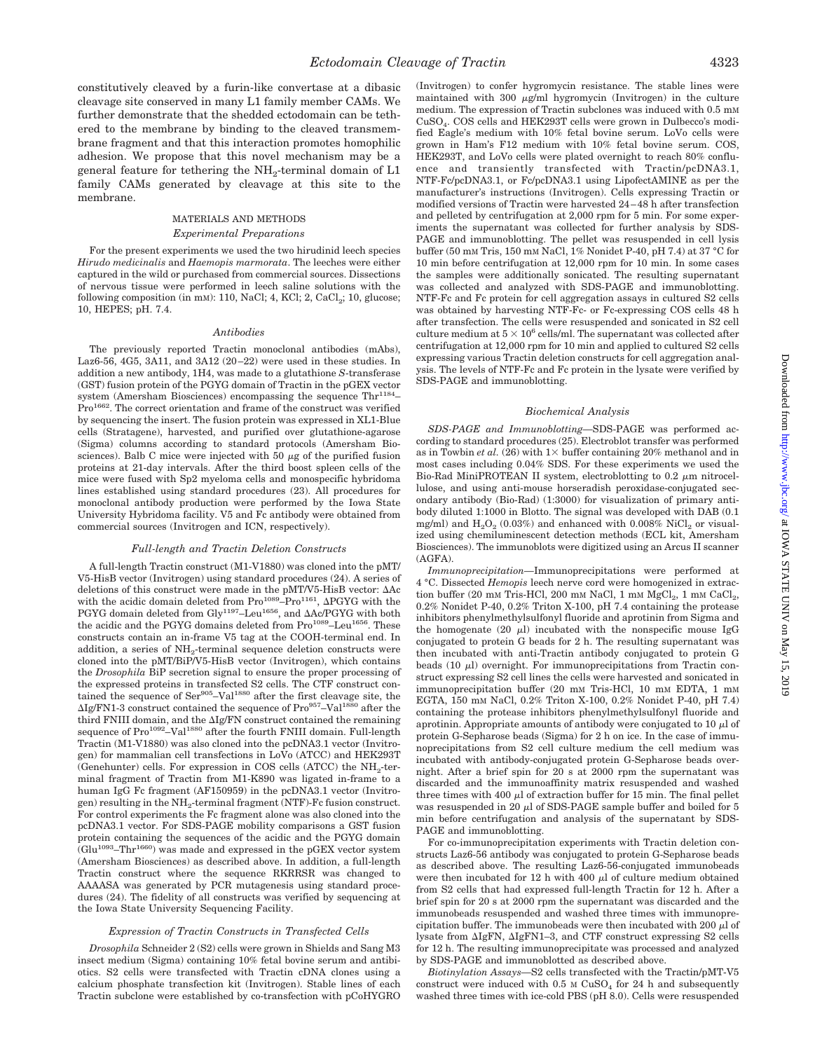constitutively cleaved by a furin-like convertase at a dibasic cleavage site conserved in many L1 family member CAMs. We further demonstrate that the shedded ectodomain can be tethered to the membrane by binding to the cleaved transmembrane fragment and that this interaction promotes homophilic adhesion. We propose that this novel mechanism may be a general feature for tethering the  $NH_2$ -terminal domain of L1 family CAMs generated by cleavage at this site to the membrane.

### MATERIALS AND METHODS *Experimental Preparations*

For the present experiments we used the two hirudinid leech species *Hirudo medicinalis* and *Haemopis marmorata*. The leeches were either captured in the wild or purchased from commercial sources. Dissections of nervous tissue were performed in leech saline solutions with the following composition (in mM): 110, NaCl; 4, KCl; 2, CaCl<sub>2</sub>; 10, glucose; 10, HEPES; pH. 7.4.

#### *Antibodies*

The previously reported Tractin monoclonal antibodies (mAbs), Laz6-56, 4G5, 3A11, and 3A12 (20–22) were used in these studies. In addition a new antibody, 1H4, was made to a glutathione *S*-transferase (GST) fusion protein of the PGYG domain of Tractin in the pGEX vector system (Amersham Biosciences) encompassing the sequence  $Thr^{1184}$ -Pro<sup>1662</sup>. The correct orientation and frame of the construct was verified by sequencing the insert. The fusion protein was expressed in XL1-Blue cells (Stratagene), harvested, and purified over glutathione-agarose (Sigma) columns according to standard protocols (Amersham Biosciences). Balb C mice were injected with 50  $\mu$ g of the purified fusion proteins at 21-day intervals. After the third boost spleen cells of the mice were fused with Sp2 myeloma cells and monospecific hybridoma lines established using standard procedures (23). All procedures for monoclonal antibody production were performed by the Iowa State University Hybridoma facility. V5 and Fc antibody were obtained from commercial sources (Invitrogen and ICN, respectively).

#### *Full-length and Tractin Deletion Constructs*

A full-length Tractin construct (M1-V1880) was cloned into the pMT/ V5-HisB vector (Invitrogen) using standard procedures (24). A series of deletions of this construct were made in the pMT/V5-HisB vector: Ac with the acidic domain deleted from  $Pro^{1089} - Pro^{1161}$ ,  $\Delta PGYG$  with the PGYG domain deleted from Gly<sup>1197</sup>-Leu<sup>1656</sup>, and  $\Delta$ Ac/PGYG with both the acidic and the PGYG domains deleted from Pro<sup>1089</sup>-Leu<sup>1656</sup>. These constructs contain an in-frame V5 tag at the COOH-terminal end. In addition, a series of NH<sub>2</sub>-terminal sequence deletion constructs were cloned into the pMT/BiP/V5-HisB vector (Invitrogen), which contains the *Drosophila* BiP secretion signal to ensure the proper processing of the expressed proteins in transfected S2 cells. The CTF construct contained the sequence of Ser<sup>905</sup>-Val<sup>1880</sup> after the first cleavage site, the  $\Delta$ Ig/FN1-3 construct contained the sequence of Pro $957 -$ Val<sup>1880</sup> after the third FNIII domain, and the  $\Delta Ig/FN$  construct contained the remaining sequence of Pro<sup>1092</sup>-Val<sup>1880</sup> after the fourth FNIII domain. Full-length Tractin (M1-V1880) was also cloned into the pcDNA3.1 vector (Invitrogen) for mammalian cell transfections in LoVo (ATCC) and HEK293T (Genehunter) cells. For expression in COS cells (ATCC) the  $NH_2$ -terminal fragment of Tractin from M1-K890 was ligated in-frame to a human IgG Fc fragment (AF150959) in the pcDNA3.1 vector (Invitrogen) resulting in the  $NH_2$ -terminal fragment (NTF)-Fc fusion construct. For control experiments the Fc fragment alone was also cloned into the pcDNA3.1 vector. For SDS-PAGE mobility comparisons a GST fusion protein containing the sequences of the acidic and the PGYG domain  $(Glu<sup>1093</sup>-Thr<sup>1660</sup>)$  was made and expressed in the pGEX vector system (Amersham Biosciences) as described above. In addition, a full-length Tractin construct where the sequence RKRRSR was changed to AAAASA was generated by PCR mutagenesis using standard procedures (24). The fidelity of all constructs was verified by sequencing at the Iowa State University Sequencing Facility.

#### *Expression of Tractin Constructs in Transfected Cells*

*Drosophila* Schneider 2 (S2) cells were grown in Shields and Sang M3 insect medium (Sigma) containing 10% fetal bovine serum and antibiotics. S2 cells were transfected with Tractin cDNA clones using a calcium phosphate transfection kit (Invitrogen). Stable lines of each Tractin subclone were established by co-transfection with pCoHYGRO

(Invitrogen) to confer hygromycin resistance. The stable lines were maintained with  $300 \mu g/ml$  hygromycin (Invitrogen) in the culture medium. The expression of Tractin subclones was induced with 0.5 mM CuSO4. COS cells and HEK293T cells were grown in Dulbecco's modified Eagle's medium with 10% fetal bovine serum. LoVo cells were grown in Ham's F12 medium with 10% fetal bovine serum. COS, HEK293T, and LoVo cells were plated overnight to reach 80% confluence and transiently transfected with Tractin/pcDNA3.1, NTF-Fc/pcDNA3.1, or Fc/pcDNA3.1 using LipofectAMINE as per the manufacturer's instructions (Invitrogen). Cells expressing Tractin or modified versions of Tractin were harvested 24–48 h after transfection and pelleted by centrifugation at 2,000 rpm for 5 min. For some experiments the supernatant was collected for further analysis by SDS-PAGE and immunoblotting. The pellet was resuspended in cell lysis buffer (50 mM Tris, 150 mM NaCl, 1% Nonidet P-40, pH 7.4) at 37 °C for 10 min before centrifugation at 12,000 rpm for 10 min. In some cases the samples were additionally sonicated. The resulting supernatant was collected and analyzed with SDS-PAGE and immunoblotting. NTF-Fc and Fc protein for cell aggregation assays in cultured S2 cells was obtained by harvesting NTF-Fc- or Fc-expressing COS cells 48 h after transfection. The cells were resuspended and sonicated in S2 cell culture medium at  $5 \times 10^6$  cells/ml. The supernatant was collected after centrifugation at 12,000 rpm for 10 min and applied to cultured S2 cells expressing various Tractin deletion constructs for cell aggregation analysis. The levels of NTF-Fc and Fc protein in the lysate were verified by SDS-PAGE and immunoblotting.

#### *Biochemical Analysis*

*SDS-PAGE and Immunoblotting—*SDS-PAGE was performed according to standard procedures (25). Electroblot transfer was performed as in Towbin *et al.* (26) with  $1 \times$  buffer containing 20% methanol and in most cases including 0.04% SDS. For these experiments we used the Bio-Rad MiniPROTEAN II system, electroblotting to  $0.2 \mu$ m nitrocellulose, and using anti-mouse horseradish peroxidase-conjugated secondary antibody (Bio-Rad) (1:3000) for visualization of primary antibody diluted 1:1000 in Blotto. The signal was developed with DAB (0.1 mg/ml) and  $H_2O_2 (0.03%)$  and enhanced with 0.008% NiCl<sub>2</sub> or visualized using chemiluminescent detection methods (ECL kit, Amersham Biosciences). The immunoblots were digitized using an Arcus II scanner (AGFA).

*Immunoprecipitation—*Immunoprecipitations were performed at 4 °C. Dissected *Hemopis* leech nerve cord were homogenized in extraction buffer (20 mm Tris-HCl, 200 mm NaCl,  $1 \text{ mm } MgCl_2$ ,  $1 \text{ mm } CaCl_2$ , 0.2% Nonidet P-40, 0.2% Triton X-100, pH 7.4 containing the protease inhibitors phenylmethylsulfonyl fluoride and aprotinin from Sigma and the homogenate (20  $\mu$ ) incubated with the nonspecific mouse IgG conjugated to protein G beads for 2 h. The resulting supernatant was then incubated with anti-Tractin antibody conjugated to protein G beads (10  $\mu$ l) overnight. For immunoprecipitations from Tractin construct expressing S2 cell lines the cells were harvested and sonicated in immunoprecipitation buffer (20 mM Tris-HCl, 10 mM EDTA, 1 mM EGTA, 150 mM NaCl, 0.2% Triton X-100, 0.2% Nonidet P-40, pH 7.4) containing the protease inhibitors phenylmethylsulfonyl fluoride and aprotinin. Appropriate amounts of antibody were conjugated to 10  $\mu$ l of protein G-Sepharose beads (Sigma) for 2 h on ice. In the case of immunoprecipitations from S2 cell culture medium the cell medium was incubated with antibody-conjugated protein G-Sepharose beads overnight. After a brief spin for 20 s at 2000 rpm the supernatant was discarded and the immunoaffinity matrix resuspended and washed three times with 400  $\mu$ l of extraction buffer for 15 min. The final pellet was resuspended in 20  $\mu$ l of SDS-PAGE sample buffer and boiled for 5 min before centrifugation and analysis of the supernatant by SDS-PAGE and immunoblotting.

For co-immunoprecipitation experiments with Tractin deletion constructs Laz6-56 antibody was conjugated to protein G-Sepharose beads as described above. The resulting Laz6-56-conjugated immunobeads were then incubated for 12 h with 400  $\mu$ l of culture medium obtained from S2 cells that had expressed full-length Tractin for 12 h. After a brief spin for 20 s at 2000 rpm the supernatant was discarded and the immunobeads resuspended and washed three times with immunoprecipitation buffer. The immunobeads were then incubated with 200  $\mu$ l of lysate from  $\Delta I$ gFN,  $\Delta I$ gFN1–3, and CTF construct expressing S2 cells for 12 h. The resulting immunoprecipitate was processed and analyzed by SDS-PAGE and immunoblotted as described above.

*Biotinylation Assays—*S2 cells transfected with the Tractin/pMT-V5 construct were induced with  $0.5$  M  $CuSO<sub>4</sub>$  for 24 h and subsequently washed three times with ice-cold PBS (pH 8.0). Cells were resuspended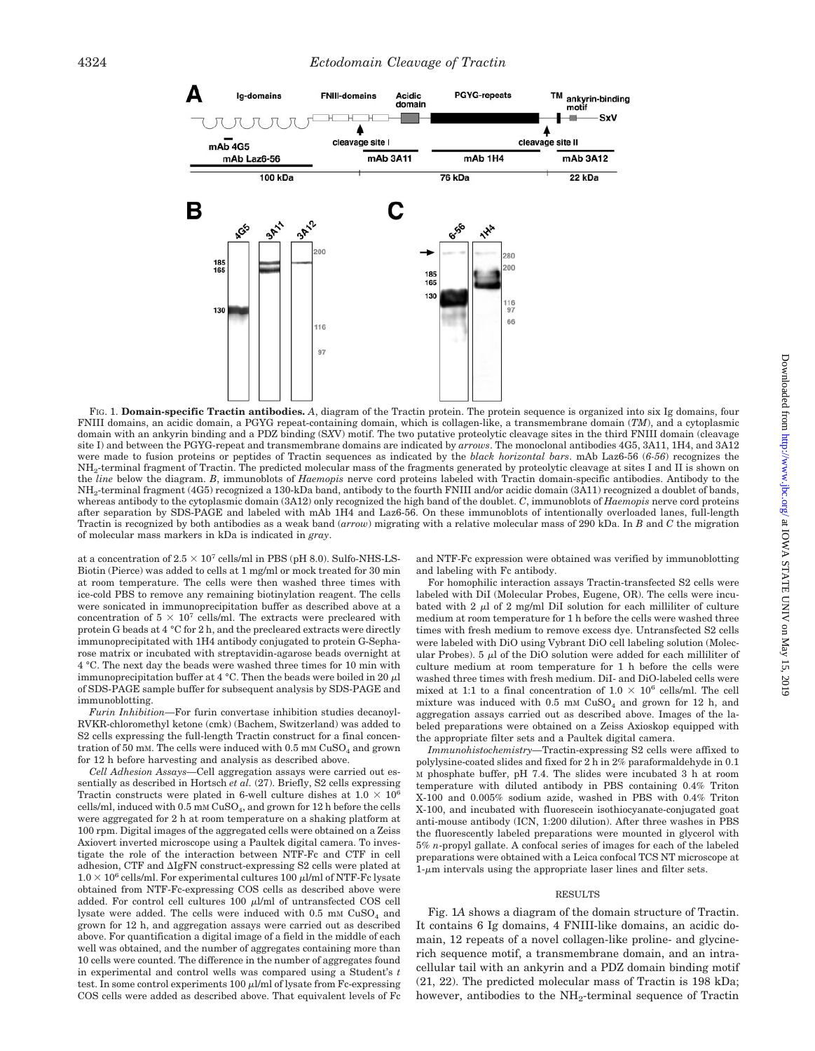

FIG. 1. **Domain-specific Tractin antibodies.** *A*, diagram of the Tractin protein. The protein sequence is organized into six Ig domains, four FNIII domains, an acidic domain, a PGYG repeat-containing domain, which is collagen-like, a transmembrane domain (*TM*), and a cytoplasmic domain with an ankyrin binding and a PDZ binding (S*X*V) motif. The two putative proteolytic cleavage sites in the third FNIII domain (cleavage site I) and between the PGYG-repeat and transmembrane domains are indicated by *arrows*. The monoclonal antibodies 4G5, 3A11, 1H4, and 3A12 were made to fusion proteins or peptides of Tractin sequences as indicated by the *black horizontal bars*. mAb Laz6-56 (*6-56*) recognizes the NH2-terminal fragment of Tractin. The predicted molecular mass of the fragments generated by proteolytic cleavage at sites I and II is shown on the *line* below the diagram. *B*, immunoblots of *Haemopis* nerve cord proteins labeled with Tractin domain-specific antibodies. Antibody to the NH<sub>2</sub>-terminal fragment (4G5) recognized a 130-kDa band, antibody to the fourth FNIII and/or acidic domain (3A11) recognized a doublet of bands, whereas antibody to the cytoplasmic domain (3A12) only recognized the high band of the doublet. *C*, immunoblots of *Haemopis* nerve cord proteins after separation by SDS-PAGE and labeled with mAb 1H4 and Laz6-56. On these immunoblots of intentionally overloaded lanes, full-length Tractin is recognized by both antibodies as a weak band (*arrow*) migrating with a relative molecular mass of 290 kDa. In *B* and *C* the migration of molecular mass markers in kDa is indicated in *gray*.

at a concentration of  $2.5 \times 10^7$  cells/ml in PBS (pH 8.0). Sulfo-NHS-LS-Biotin (Pierce) was added to cells at 1 mg/ml or mock treated for 30 min at room temperature. The cells were then washed three times with ice-cold PBS to remove any remaining biotinylation reagent. The cells were sonicated in immunoprecipitation buffer as described above at a concentration of  $5 \times 10^7$  cells/ml. The extracts were precleared with protein G beads at 4 °C for 2 h, and the precleared extracts were directly immunoprecipitated with 1H4 antibody conjugated to protein G-Sepharose matrix or incubated with streptavidin-agarose beads overnight at 4 °C. The next day the beads were washed three times for 10 min with immunoprecipitation buffer at 4 °C. Then the beads were boiled in 20  $\mu$ l of SDS-PAGE sample buffer for subsequent analysis by SDS-PAGE and immunoblotting.

*Furin Inhibition—*For furin convertase inhibition studies decanoyl-RVKR-chloromethyl ketone (cmk) (Bachem, Switzerland) was added to S2 cells expressing the full-length Tractin construct for a final concentration of 50 mM. The cells were induced with  $0.5$  mM  $CuSO<sub>4</sub>$  and grown for 12 h before harvesting and analysis as described above.

*Cell Adhesion Assays—*Cell aggregation assays were carried out essentially as described in Hortsch *et al.* (27). Briefly, S2 cells expressing Tractin constructs were plated in 6-well culture dishes at  $1.0 \times 10^6$ cells/ml, induced with  $0.5$  mM  $CuSO<sub>4</sub>$ , and grown for 12 h before the cells were aggregated for 2 h at room temperature on a shaking platform at 100 rpm. Digital images of the aggregated cells were obtained on a Zeiss Axiovert inverted microscope using a Paultek digital camera. To investigate the role of the interaction between NTF-Fc and CTF in cell adhesion, CTF and IgFN construct-expressing S2 cells were plated at  $1.0 \times 10^6$  cells/ml. For experimental cultures 100  $\mu$ l/ml of NTF-Fc lysate obtained from NTF-Fc-expressing COS cells as described above were added. For control cell cultures  $100 \mu l/ml$  of untransfected COS cell lysate were added. The cells were induced with  $0.5$  mM  $CuSO<sub>4</sub>$  and grown for 12 h, and aggregation assays were carried out as described above. For quantification a digital image of a field in the middle of each well was obtained, and the number of aggregates containing more than 10 cells were counted. The difference in the number of aggregates found in experimental and control wells was compared using a Student's *t* test. In some control experiments  $100 \mu$ l/ml of lysate from Fc-expressing COS cells were added as described above. That equivalent levels of Fc and NTF-Fc expression were obtained was verified by immunoblotting and labeling with Fc antibody.

For homophilic interaction assays Tractin-transfected S2 cells were labeled with DiI (Molecular Probes, Eugene, OR). The cells were incubated with 2  $\mu$ l of 2 mg/ml DiI solution for each milliliter of culture medium at room temperature for 1 h before the cells were washed three times with fresh medium to remove excess dye. Untransfected S2 cells were labeled with DiO using Vybrant DiO cell labeling solution (Molecular Probes).  $5 \mu l$  of the DiO solution were added for each milliliter of culture medium at room temperature for 1 h before the cells were washed three times with fresh medium. DiI- and DiO-labeled cells were mixed at 1:1 to a final concentration of  $1.0 \times 10^6$  cells/ml. The cell mixture was induced with  $0.5$  mm  $CuSO<sub>4</sub>$  and grown for 12 h, and aggregation assays carried out as described above. Images of the labeled preparations were obtained on a Zeiss Axioskop equipped with the appropriate filter sets and a Paultek digital camera.

*Immunohistochemistry—*Tractin-expressing S2 cells were affixed to polylysine-coated slides and fixed for 2 h in 2% paraformaldehyde in 0.1 M phosphate buffer, pH 7.4. The slides were incubated 3 h at room temperature with diluted antibody in PBS containing 0.4% Triton X-100 and 0.005% sodium azide, washed in PBS with 0.4% Triton X-100, and incubated with fluorescein isothiocyanate-conjugated goat anti-mouse antibody (ICN, 1:200 dilution). After three washes in PBS the fluorescently labeled preparations were mounted in glycerol with 5% *n*-propyl gallate. A confocal series of images for each of the labeled preparations were obtained with a Leica confocal TCS NT microscope at  $1-\mu m$  intervals using the appropriate laser lines and filter sets.

#### RESULTS

Fig. 1*A* shows a diagram of the domain structure of Tractin. It contains 6 Ig domains, 4 FNIII-like domains, an acidic domain, 12 repeats of a novel collagen-like proline- and glycinerich sequence motif, a transmembrane domain, and an intracellular tail with an ankyrin and a PDZ domain binding motif (21, 22). The predicted molecular mass of Tractin is 198 kDa; however, antibodies to the NH<sub>2</sub>-terminal sequence of Tractin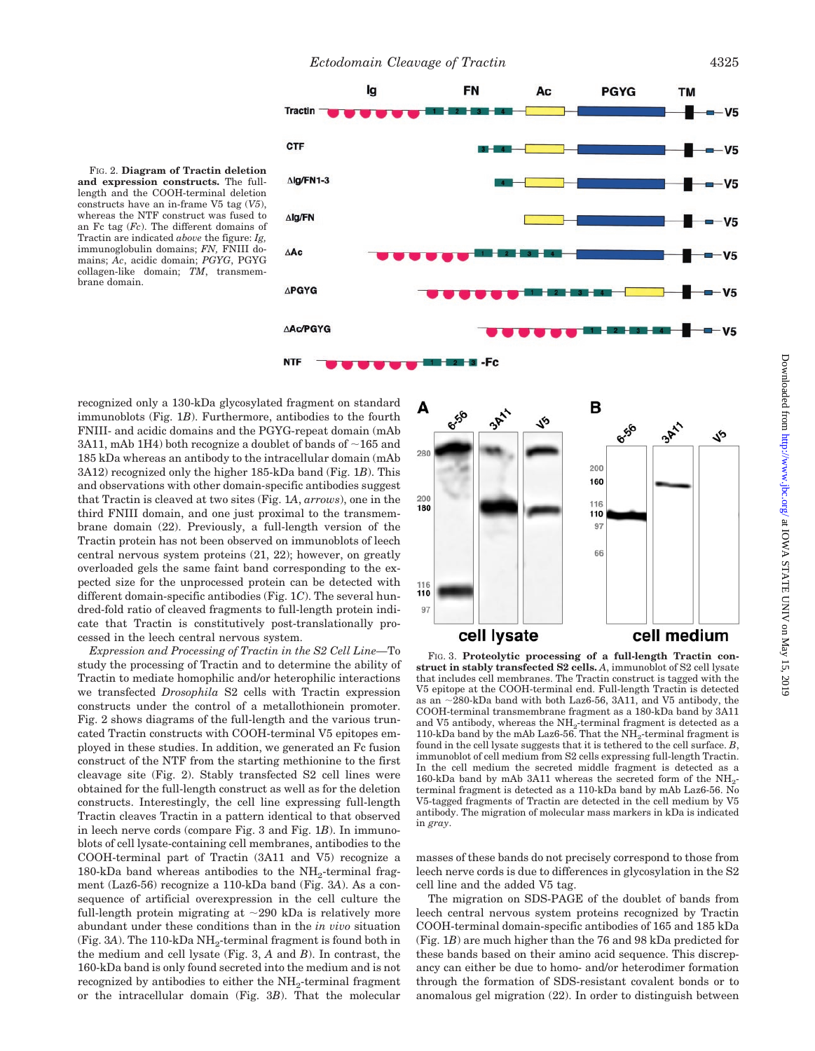FIG. 2. **Diagram of Tractin deletion and expression constructs.** The fulllength and the COOH-terminal deletion constructs have an in-frame V5 tag (*V5*), whereas the NTF construct was fused to an Fc tag (*Fc*). The different domains of Tractin are indicated *above* the figure: *Ig,* immunoglobulin domains; *FN,* FNIII domains; *Ac*, acidic domain; *PGYG*, PGYG collagen-like domain; *TM*, transmembrane domain.



-Fc

recognized only a 130-kDa glycosylated fragment on standard immunoblots (Fig. 1*B*). Furthermore, antibodies to the fourth FNIII- and acidic domains and the PGYG-repeat domain (mAb 3A11, mAb 1H4) both recognize a doublet of bands of  $\sim$ 165 and 185 kDa whereas an antibody to the intracellular domain (mAb 3A12) recognized only the higher 185-kDa band (Fig. 1*B*). This and observations with other domain-specific antibodies suggest that Tractin is cleaved at two sites (Fig. 1*A*, *arrows*), one in the third FNIII domain, and one just proximal to the transmembrane domain (22). Previously, a full-length version of the Tractin protein has not been observed on immunoblots of leech central nervous system proteins (21, 22); however, on greatly overloaded gels the same faint band corresponding to the expected size for the unprocessed protein can be detected with different domain-specific antibodies (Fig. 1*C*). The several hundred-fold ratio of cleaved fragments to full-length protein indicate that Tractin is constitutively post-translationally processed in the leech central nervous system.

*Expression and Processing of Tractin in the S2 Cell Line—*To study the processing of Tractin and to determine the ability of Tractin to mediate homophilic and/or heterophilic interactions we transfected *Drosophila* S2 cells with Tractin expression constructs under the control of a metallothionein promoter. Fig. 2 shows diagrams of the full-length and the various truncated Tractin constructs with COOH-terminal V5 epitopes employed in these studies. In addition, we generated an Fc fusion construct of the NTF from the starting methionine to the first cleavage site (Fig. 2). Stably transfected S2 cell lines were obtained for the full-length construct as well as for the deletion constructs. Interestingly, the cell line expressing full-length Tractin cleaves Tractin in a pattern identical to that observed in leech nerve cords (compare Fig. 3 and Fig. 1*B*). In immunoblots of cell lysate-containing cell membranes, antibodies to the COOH-terminal part of Tractin (3A11 and V5) recognize a  $180 - kDa$  band whereas antibodies to the NH<sub>2</sub>-terminal fragment (Laz6-56) recognize a 110-kDa band (Fig. 3*A*). As a consequence of artificial overexpression in the cell culture the full-length protein migrating at  $\sim$ 290 kDa is relatively more abundant under these conditions than in the *in vivo* situation (Fig.  $3A$ ). The 110-kDa  $NH_2$ -terminal fragment is found both in the medium and cell lysate (Fig. 3, *A* and *B*). In contrast, the 160-kDa band is only found secreted into the medium and is not recognized by antibodies to either the NH<sub>2</sub>-terminal fragment or the intracellular domain (Fig. 3*B*). That the molecular



FIG. 3. **Proteolytic processing of a full-length Tractin construct in stably transfected S2 cells.** *A*, immunoblot of S2 cell lysate that includes cell membranes. The Tractin construct is tagged with the V5 epitope at the COOH-terminal end. Full-length Tractin is detected as an  $\sim$ 280-kDa band with both Laz6-56, 3A11, and V5 antibody, the COOH-terminal transmembrane fragment as a 180-kDa band by 3A11 and V5 antibody, whereas the  $NH_2$ -terminal fragment is detected as a 110-kDa band by the mAb Laz6-56. That the  $NH<sub>2</sub>$ -terminal fragment is found in the cell lysate suggests that it is tethered to the cell surface. *B*, immunoblot of cell medium from S2 cells expressing full-length Tractin. In the cell medium the secreted middle fragment is detected as a 160-kDa band by mAb 3A11 whereas the secreted form of the NH2 terminal fragment is detected as a 110-kDa band by mAb Laz6-56. No V5-tagged fragments of Tractin are detected in the cell medium by V5 antibody. The migration of molecular mass markers in kDa is indicated in *gray*.

masses of these bands do not precisely correspond to those from leech nerve cords is due to differences in glycosylation in the S2 cell line and the added V5 tag.

The migration on SDS-PAGE of the doublet of bands from leech central nervous system proteins recognized by Tractin COOH-terminal domain-specific antibodies of 165 and 185 kDa (Fig. 1*B*) are much higher than the 76 and 98 kDa predicted for these bands based on their amino acid sequence. This discrepancy can either be due to homo- and/or heterodimer formation through the formation of SDS-resistant covalent bonds or to anomalous gel migration (22). In order to distinguish between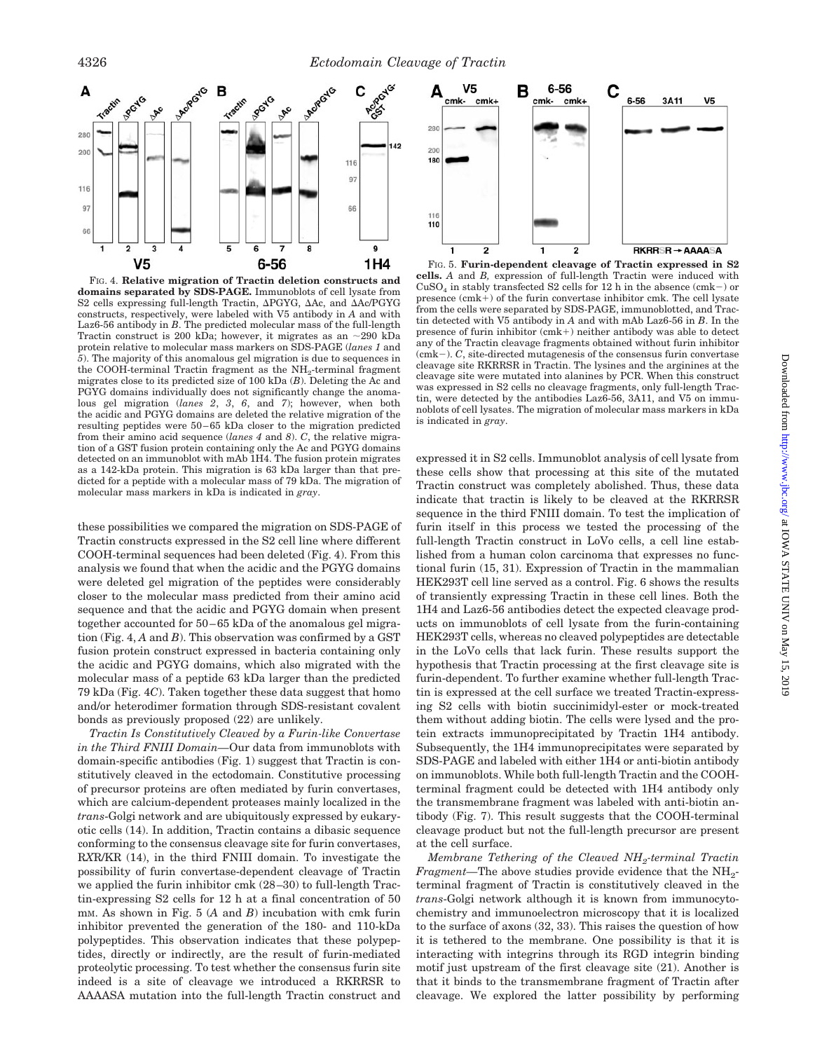

FIG. 4. **Relative migration of Tractin deletion constructs and domains separated by SDS-PAGE.** Immunoblots of cell lysate from S2 cells expressing full-length Tractin,  $\Delta$ PGYG,  $\Delta$ Ac, and  $\Delta$ Ac/PGYG constructs, respectively, were labeled with V5 antibody in *A* and with Laz6-56 antibody in *B*. The predicted molecular mass of the full-length Tractin construct is 200 kDa; however, it migrates as an  $\sim$ 290 kDa protein relative to molecular mass markers on SDS-PAGE (*lanes 1* and *5*). The majority of this anomalous gel migration is due to sequences in the COOH-terminal Tractin fragment as the  $NH<sub>2</sub>$ -terminal fragment migrates close to its predicted size of 100 kDa (*B*). Deleting the Ac and PGYG domains individually does not significantly change the anomalous gel migration (*lanes 2*, *3*, *6*, and *7*); however, when both the acidic and PGYG domains are deleted the relative migration of the resulting peptides were 50–65 kDa closer to the migration predicted from their amino acid sequence (*lanes 4* and *8*). *C*, the relative migration of a GST fusion protein containing only the Ac and PGYG domains detected on an immunoblot with mAb 1H4. The fusion protein migrates as a 142-kDa protein. This migration is 63 kDa larger than that predicted for a peptide with a molecular mass of 79 kDa. The migration of molecular mass markers in kDa is indicated in *gray*.

these possibilities we compared the migration on SDS-PAGE of Tractin constructs expressed in the S2 cell line where different COOH-terminal sequences had been deleted (Fig. 4). From this analysis we found that when the acidic and the PGYG domains were deleted gel migration of the peptides were considerably closer to the molecular mass predicted from their amino acid sequence and that the acidic and PGYG domain when present together accounted for 50–65 kDa of the anomalous gel migration (Fig. 4, *A* and *B*). This observation was confirmed by a GST fusion protein construct expressed in bacteria containing only the acidic and PGYG domains, which also migrated with the molecular mass of a peptide 63 kDa larger than the predicted 79 kDa (Fig. 4*C*). Taken together these data suggest that homo and/or heterodimer formation through SDS-resistant covalent bonds as previously proposed (22) are unlikely.

*Tractin Is Constitutively Cleaved by a Furin-like Convertase in the Third FNIII Domain—*Our data from immunoblots with domain-specific antibodies (Fig. 1) suggest that Tractin is constitutively cleaved in the ectodomain. Constitutive processing of precursor proteins are often mediated by furin convertases, which are calcium-dependent proteases mainly localized in the *trans*-Golgi network and are ubiquitously expressed by eukaryotic cells (14). In addition, Tractin contains a dibasic sequence conforming to the consensus cleavage site for furin convertases, R*X*R/KR (14), in the third FNIII domain. To investigate the possibility of furin convertase-dependent cleavage of Tractin we applied the furin inhibitor cmk (28–30) to full-length Tractin-expressing S2 cells for 12 h at a final concentration of 50 mM. As shown in Fig. 5 (*A* and *B*) incubation with cmk furin inhibitor prevented the generation of the 180- and 110-kDa polypeptides. This observation indicates that these polypeptides, directly or indirectly, are the result of furin-mediated proteolytic processing. To test whether the consensus furin site indeed is a site of cleavage we introduced a RKRRSR to AAAASA mutation into the full-length Tractin construct and



FIG. 5. **Furin-dependent cleavage of Tractin expressed in S2 cells.** *A* and *B,* expression of full-length Tractin were induced with  $CuSO<sub>4</sub>$  in stably transfected S2 cells for 12 h in the absence (cmk-) or presence  $(cmk+)$  of the furin convertase inhibitor cmk. The cell lysate from the cells were separated by SDS-PAGE, immunoblotted, and Tractin detected with V5 antibody in *A* and with mAb Laz6-56 in *B*. In the presence of furin inhibitor  $(cmk+)$  neither antibody was able to detect any of the Tractin cleavage fragments obtained without furin inhibitor (cmk). *C*, site-directed mutagenesis of the consensus furin convertase cleavage site RKRRSR in Tractin. The lysines and the arginines at the cleavage site were mutated into alanines by PCR. When this construct was expressed in S2 cells no cleavage fragments, only full-length Tractin, were detected by the antibodies Laz6-56, 3A11, and V5 on immunoblots of cell lysates. The migration of molecular mass markers in kDa is indicated in *gray*.

expressed it in S2 cells. Immunoblot analysis of cell lysate from these cells show that processing at this site of the mutated Tractin construct was completely abolished. Thus, these data indicate that tractin is likely to be cleaved at the RKRRSR sequence in the third FNIII domain. To test the implication of furin itself in this process we tested the processing of the full-length Tractin construct in LoVo cells, a cell line established from a human colon carcinoma that expresses no functional furin (15, 31). Expression of Tractin in the mammalian HEK293T cell line served as a control. Fig. 6 shows the results of transiently expressing Tractin in these cell lines. Both the 1H4 and Laz6-56 antibodies detect the expected cleavage products on immunoblots of cell lysate from the furin-containing HEK293T cells, whereas no cleaved polypeptides are detectable in the LoVo cells that lack furin. These results support the hypothesis that Tractin processing at the first cleavage site is furin-dependent. To further examine whether full-length Tractin is expressed at the cell surface we treated Tractin-expressing S2 cells with biotin succinimidyl-ester or mock-treated them without adding biotin. The cells were lysed and the protein extracts immunoprecipitated by Tractin 1H4 antibody. Subsequently, the 1H4 immunoprecipitates were separated by SDS-PAGE and labeled with either 1H4 or anti-biotin antibody on immunoblots. While both full-length Tractin and the COOHterminal fragment could be detected with 1H4 antibody only the transmembrane fragment was labeled with anti-biotin antibody (Fig. 7). This result suggests that the COOH-terminal cleavage product but not the full-length precursor are present at the cell surface.

*Membrane Tethering of the Cleaved NH2-terminal Tractin Fragment*—The above studies provide evidence that the NH<sub>2</sub>terminal fragment of Tractin is constitutively cleaved in the *trans*-Golgi network although it is known from immunocytochemistry and immunoelectron microscopy that it is localized to the surface of axons (32, 33). This raises the question of how it is tethered to the membrane. One possibility is that it is interacting with integrins through its RGD integrin binding motif just upstream of the first cleavage site (21). Another is that it binds to the transmembrane fragment of Tractin after cleavage. We explored the latter possibility by performing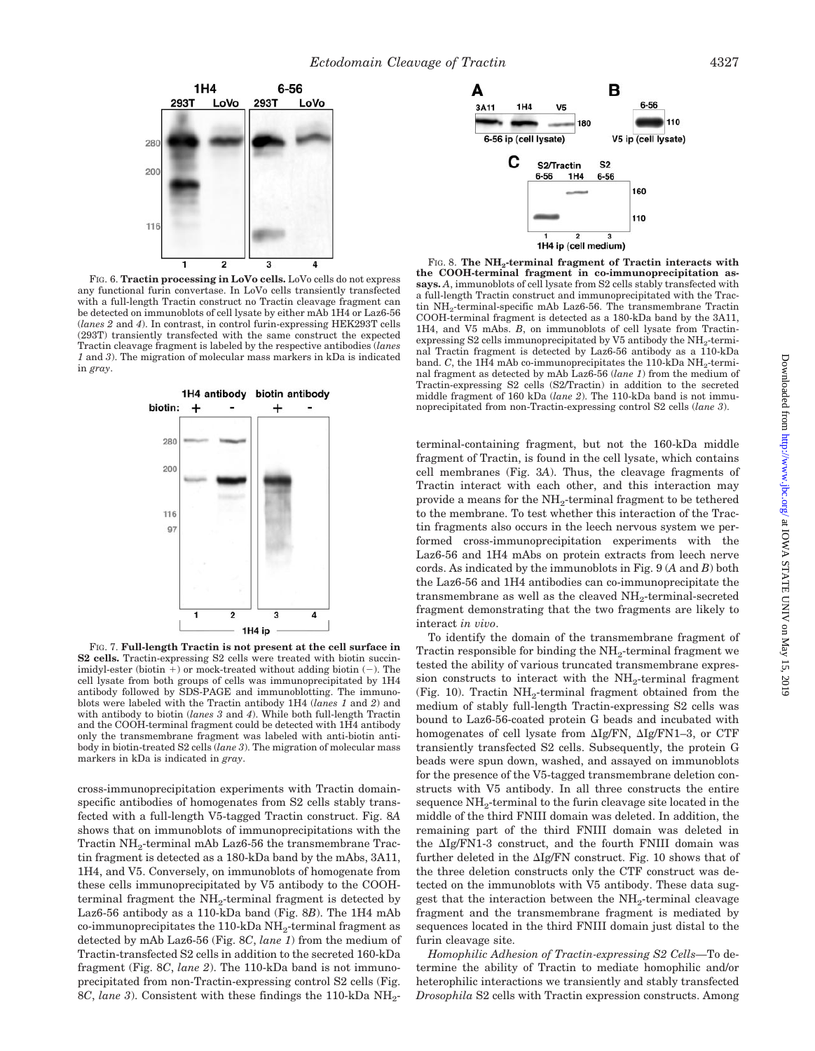

FIG. 6. **Tractin processing in LoVo cells.** LoVo cells do not express any functional furin convertase. In LoVo cells transiently transfected with a full-length Tractin construct no Tractin cleavage fragment can be detected on immunoblots of cell lysate by either mAb 1H4 or Laz6-56 (*lanes 2* and *4*). In contrast, in control furin-expressing HEK293T cells (293T) transiently transfected with the same construct the expected Tractin cleavage fragment is labeled by the respective antibodies (*lanes 1* and *3*). The migration of molecular mass markers in kDa is indicated in *gray*.



FIG. 7. **Full-length Tractin is not present at the cell surface in S2 cells.** Tractin-expressing S2 cells were treated with biotin succinimidyl-ester (biotin  $+$ ) or mock-treated without adding biotin  $(-)$ . The cell lysate from both groups of cells was immunoprecipitated by 1H4 antibody followed by SDS-PAGE and immunoblotting. The immunoblots were labeled with the Tractin antibody 1H4 (*lanes 1* and *2*) and with antibody to biotin (*lanes 3* and *4*). While both full-length Tractin and the COOH-terminal fragment could be detected with 1H4 antibody only the transmembrane fragment was labeled with anti-biotin antibody in biotin-treated S2 cells (*lane 3*). The migration of molecular mass markers in kDa is indicated in *gray*.

cross-immunoprecipitation experiments with Tractin domainspecific antibodies of homogenates from S2 cells stably transfected with a full-length V5-tagged Tractin construct. Fig. 8*A* shows that on immunoblots of immunoprecipitations with the Tractin NH<sub>2</sub>-terminal mAb Laz6-56 the transmembrane Tractin fragment is detected as a 180-kDa band by the mAbs, 3A11, 1H4, and V5. Conversely, on immunoblots of homogenate from these cells immunoprecipitated by V5 antibody to the COOHterminal fragment the NH<sub>2</sub>-terminal fragment is detected by Laz6-56 antibody as a 110-kDa band (Fig. 8*B*). The 1H4 mAb  $co-immunoprecipitates the 110-kDa NH<sub>2</sub>-terminal fragment as$ detected by mAb Laz6-56 (Fig. 8*C*, *lane 1*) from the medium of Tractin-transfected S2 cells in addition to the secreted 160-kDa fragment (Fig. 8*C*, *lane 2*). The 110-kDa band is not immunoprecipitated from non-Tractin-expressing control S2 cells (Fig. 8*C*, *lane* 3). Consistent with these findings the 110-kDa NH<sub>2</sub>-



FIG. 8. The NH<sub>2</sub>-terminal fragment of Tractin interacts with **the COOH-terminal fragment in co-immunoprecipitation assays.** *A*, immunoblots of cell lysate from S2 cells stably transfected with a full-length Tractin construct and immunoprecipitated with the Tractin NH<sub>2</sub>-terminal-specific mAb Laz6-56. The transmembrane Tractin COOH-terminal fragment is detected as a 180-kDa band by the 3A11, 1H4, and V5 mAbs. *B*, on immunoblots of cell lysate from Tractinexpressing S2 cells immunoprecipitated by V5 antibody the  $NH_2$ -terminal Tractin fragment is detected by Laz6-56 antibody as a 110-kDa band. *C*, the 1H4 mAb co-immunoprecipitates the 110-kDa  $NH_2$ -terminal fragment as detected by mAb Laz6-56 (*lane 1*) from the medium of Tractin-expressing S2 cells (S2/Tractin) in addition to the secreted middle fragment of 160 kDa (*lane 2*). The 110-kDa band is not immunoprecipitated from non-Tractin-expressing control S2 cells (*lane 3*).

terminal-containing fragment, but not the 160-kDa middle fragment of Tractin, is found in the cell lysate, which contains cell membranes (Fig. 3*A*). Thus, the cleavage fragments of Tractin interact with each other, and this interaction may provide a means for the NH2-terminal fragment to be tethered to the membrane. To test whether this interaction of the Tractin fragments also occurs in the leech nervous system we performed cross-immunoprecipitation experiments with the Laz6-56 and 1H4 mAbs on protein extracts from leech nerve cords. As indicated by the immunoblots in Fig. 9 (*A* and *B*) both the Laz6-56 and 1H4 antibodies can co-immunoprecipitate the transmembrane as well as the cleaved  $NH_2$ -terminal-secreted fragment demonstrating that the two fragments are likely to interact *in vivo*.

To identify the domain of the transmembrane fragment of Tractin responsible for binding the  $NH_2$ -terminal fragment we tested the ability of various truncated transmembrane expression constructs to interact with the  $NH<sub>2</sub>$ -terminal fragment (Fig. 10). Tractin  $NH<sub>2</sub>$ -terminal fragment obtained from the medium of stably full-length Tractin-expressing S2 cells was bound to Laz6-56-coated protein G beads and incubated with homogenates of cell lysate from  $\Delta Ig/FN$ ,  $\Delta Ig/FN1-3$ , or CTF transiently transfected S2 cells. Subsequently, the protein G beads were spun down, washed, and assayed on immunoblots for the presence of the V5-tagged transmembrane deletion constructs with V5 antibody. In all three constructs the entire sequence  $NH_2$ -terminal to the furin cleavage site located in the middle of the third FNIII domain was deleted. In addition, the remaining part of the third FNIII domain was deleted in the  $\Delta Ig/FN1-3$  construct, and the fourth FNIII domain was further deleted in the  $\Delta Ig/FN$  construct. Fig. 10 shows that of the three deletion constructs only the CTF construct was detected on the immunoblots with V5 antibody. These data suggest that the interaction between the NH<sub>2</sub>-terminal cleavage fragment and the transmembrane fragment is mediated by sequences located in the third FNIII domain just distal to the furin cleavage site.

*Homophilic Adhesion of Tractin-expressing S2 Cells—*To determine the ability of Tractin to mediate homophilic and/or heterophilic interactions we transiently and stably transfected *Drosophila* S2 cells with Tractin expression constructs. Among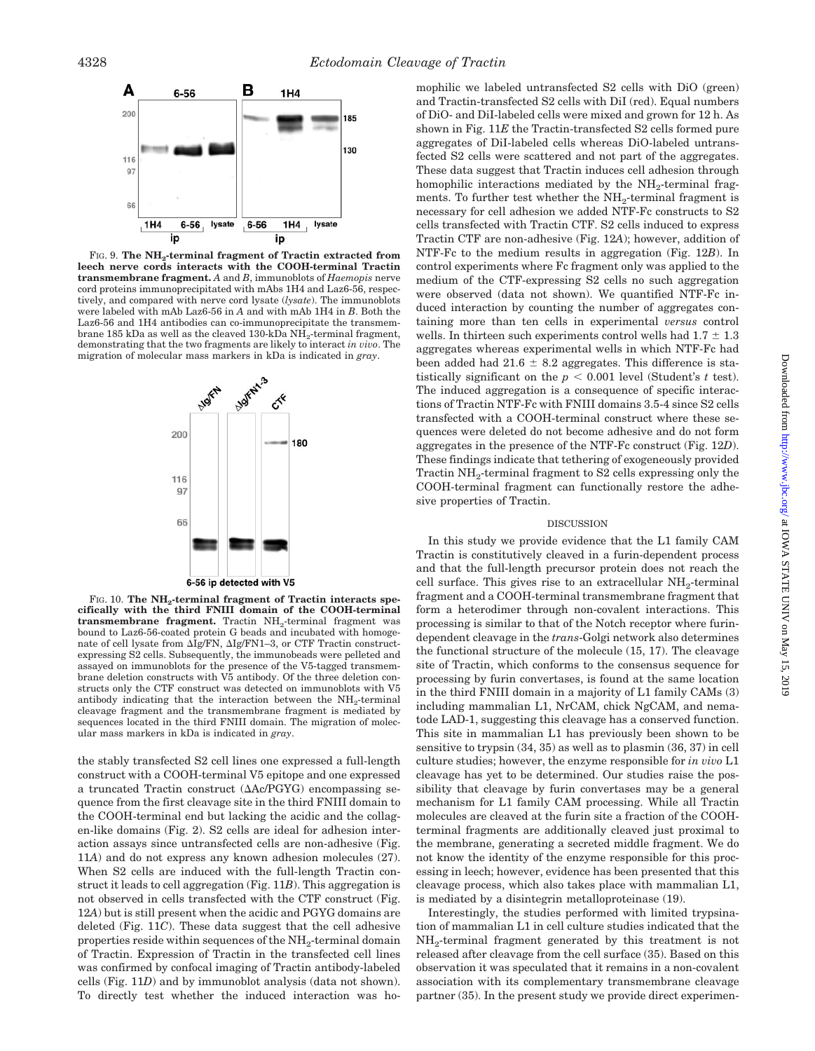

FIG. 9. **The NH2-terminal fragment of Tractin extracted from leech nerve cords interacts with the COOH-terminal Tractin transmembrane fragment.** *A* and *B*, immunoblots of *Haemopis* nerve cord proteins immunoprecipitated with mAbs 1H4 and Laz6-56, respectively, and compared with nerve cord lysate (*lysate*). The immunoblots were labeled with mAb Laz6-56 in *A* and with mAb 1H4 in *B*. Both the Laz6-56 and 1H4 antibodies can co-immunoprecipitate the transmembrane 185 kDa as well as the cleaved 130-kDa NH<sub>2</sub>-terminal fragment, demonstrating that the two fragments are likely to interact *in vivo*. The migration of molecular mass markers in kDa is indicated in *gray*.



FIG. 10. The NH<sub>2</sub>-terminal fragment of Tractin interacts spe**cifically with the third FNIII domain of the COOH-terminal** transmembrane fragment. Tractin NH<sub>2</sub>-terminal fragment was bound to Laz6-56-coated protein G beads and incubated with homogenate of cell lysate from  $\Delta Ig/FN$ ,  $\Delta Ig/FN1-3$ , or CTF Tractin constructexpressing S2 cells. Subsequently, the immunobeads were pelleted and assayed on immunoblots for the presence of the V5-tagged transmembrane deletion constructs with V5 antibody. Of the three deletion constructs only the CTF construct was detected on immunoblots with V5 antibody indicating that the interaction between the NH<sub>2</sub>-terminal cleavage fragment and the transmembrane fragment is mediated by sequences located in the third FNIII domain. The migration of molecular mass markers in kDa is indicated in *gray*.

the stably transfected S2 cell lines one expressed a full-length construct with a COOH-terminal V5 epitope and one expressed a truncated Tractin construct  $(\Delta Ac/PGYG)$  encompassing sequence from the first cleavage site in the third FNIII domain to the COOH-terminal end but lacking the acidic and the collagen-like domains (Fig. 2). S2 cells are ideal for adhesion interaction assays since untransfected cells are non-adhesive (Fig. 11*A*) and do not express any known adhesion molecules (27). When S2 cells are induced with the full-length Tractin construct it leads to cell aggregation (Fig. 11*B*). This aggregation is not observed in cells transfected with the CTF construct (Fig. 12*A*) but is still present when the acidic and PGYG domains are deleted (Fig. 11*C*). These data suggest that the cell adhesive properties reside within sequences of the NH<sub>2</sub>-terminal domain of Tractin. Expression of Tractin in the transfected cell lines was confirmed by confocal imaging of Tractin antibody-labeled cells (Fig. 11*D*) and by immunoblot analysis (data not shown). To directly test whether the induced interaction was homophilic we labeled untransfected S2 cells with DiO (green) and Tractin-transfected S2 cells with DiI (red). Equal numbers of DiO- and DiI-labeled cells were mixed and grown for 12 h. As shown in Fig. 11*E* the Tractin-transfected S2 cells formed pure aggregates of DiI-labeled cells whereas DiO-labeled untransfected S2 cells were scattered and not part of the aggregates. These data suggest that Tractin induces cell adhesion through homophilic interactions mediated by the NH<sub>2</sub>-terminal fragments. To further test whether the NH<sub>2</sub>-terminal fragment is necessary for cell adhesion we added NTF-Fc constructs to S2 cells transfected with Tractin CTF. S2 cells induced to express Tractin CTF are non-adhesive (Fig. 12*A*); however, addition of NTF-Fc to the medium results in aggregation (Fig. 12*B*). In control experiments where Fc fragment only was applied to the medium of the CTF-expressing S2 cells no such aggregation were observed (data not shown). We quantified NTF-Fc induced interaction by counting the number of aggregates containing more than ten cells in experimental *versus* control wells. In thirteen such experiments control wells had  $1.7 \pm 1.3$ aggregates whereas experimental wells in which NTF-Fc had been added had  $21.6 \pm 8.2$  aggregates. This difference is statistically significant on the  $p < 0.001$  level (Student's t test). The induced aggregation is a consequence of specific interactions of Tractin NTF-Fc with FNIII domains 3.5-4 since S2 cells transfected with a COOH-terminal construct where these sequences were deleted do not become adhesive and do not form aggregates in the presence of the NTF-Fc construct (Fig. 12*D*). These findings indicate that tethering of exogeneously provided Tractin NH<sub>2</sub>-terminal fragment to S2 cells expressing only the COOH-terminal fragment can functionally restore the adhesive properties of Tractin.

#### DISCUSSION

In this study we provide evidence that the L1 family CAM Tractin is constitutively cleaved in a furin-dependent process and that the full-length precursor protein does not reach the cell surface. This gives rise to an extracellular  $NH_2$ -terminal fragment and a COOH-terminal transmembrane fragment that form a heterodimer through non-covalent interactions. This processing is similar to that of the Notch receptor where furindependent cleavage in the *trans*-Golgi network also determines the functional structure of the molecule (15, 17). The cleavage site of Tractin, which conforms to the consensus sequence for processing by furin convertases, is found at the same location in the third FNIII domain in a majority of L1 family CAMs (3) including mammalian L1, NrCAM, chick NgCAM, and nematode LAD-1, suggesting this cleavage has a conserved function. This site in mammalian L1 has previously been shown to be sensitive to trypsin (34, 35) as well as to plasmin (36, 37) in cell culture studies; however, the enzyme responsible for *in vivo* L1 cleavage has yet to be determined. Our studies raise the possibility that cleavage by furin convertases may be a general mechanism for L1 family CAM processing. While all Tractin molecules are cleaved at the furin site a fraction of the COOHterminal fragments are additionally cleaved just proximal to the membrane, generating a secreted middle fragment. We do not know the identity of the enzyme responsible for this processing in leech; however, evidence has been presented that this cleavage process, which also takes place with mammalian L1, is mediated by a disintegrin metalloproteinase (19).

Interestingly, the studies performed with limited trypsination of mammalian L1 in cell culture studies indicated that the NH2-terminal fragment generated by this treatment is not released after cleavage from the cell surface (35). Based on this observation it was speculated that it remains in a non-covalent association with its complementary transmembrane cleavage partner (35). In the present study we provide direct experimen-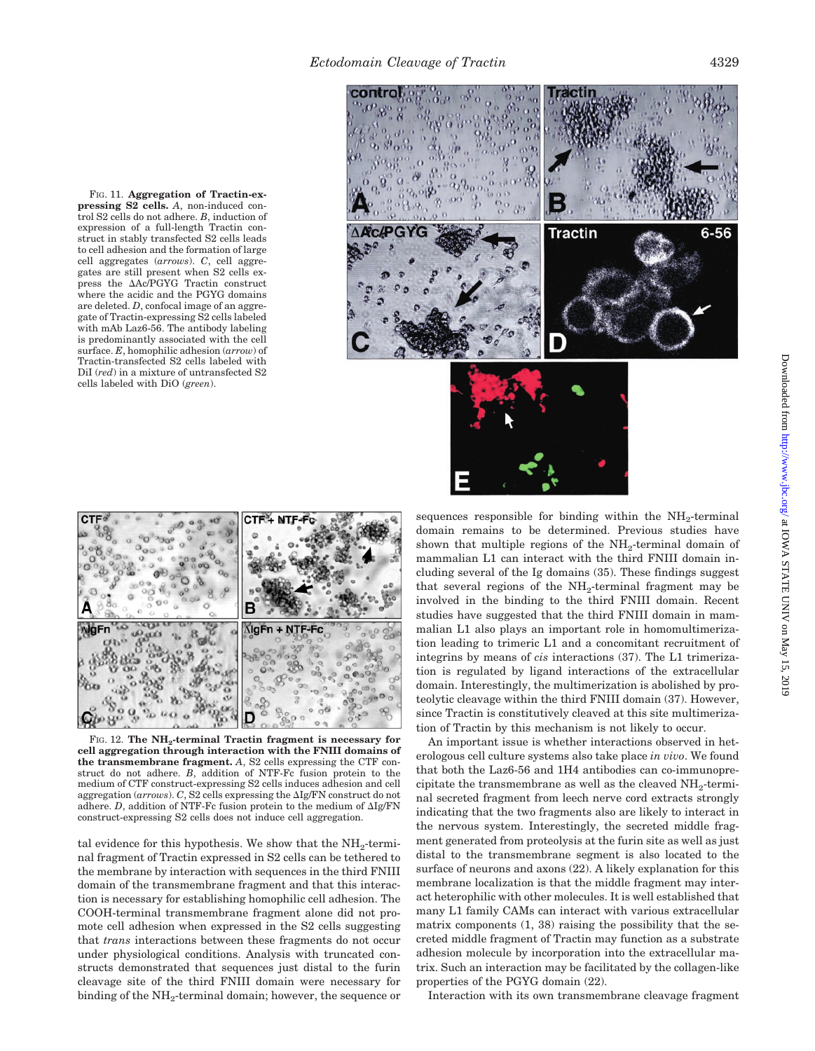FIG. 11. **Aggregation of Tractin-expressing S2 cells.** *A*, non-induced control S2 cells do not adhere. *B*, induction of expression of a full-length Tractin construct in stably transfected S2 cells leads to cell adhesion and the formation of large cell aggregates (*arrows*). *C*, cell aggregates are still present when S2 cells express the Ac/PGYG Tractin construct where the acidic and the PGYG domains are deleted. *D*, confocal image of an aggregate of Tractin-expressing S2 cells labeled with mAb Laz6-56. The antibody labeling is predominantly associated with the cell surface. *E*, homophilic adhesion (*arrow*) of Tractin-transfected S2 cells labeled with DiI (*red*) in a mixture of untransfected S2 cells labeled with DiO (*green*).





FIG. 12. **The NH2-terminal Tractin fragment is necessary for cell aggregation through interaction with the FNIII domains of the transmembrane fragment.** *A*, S2 cells expressing the CTF construct do not adhere. *B*, addition of NTF-Fc fusion protein to the medium of CTF construct-expressing S2 cells induces adhesion and cell aggregation (arrows). C, S2 cells expressing the  $\Delta$ Ig/FN construct do not adhere.  $D$ , addition of NTF-Fc fusion protein to the medium of  $\Delta Ig/FN$ construct-expressing S2 cells does not induce cell aggregation.

tal evidence for this hypothesis. We show that the  $NH<sub>2</sub>$ -terminal fragment of Tractin expressed in S2 cells can be tethered to the membrane by interaction with sequences in the third FNIII domain of the transmembrane fragment and that this interaction is necessary for establishing homophilic cell adhesion. The COOH-terminal transmembrane fragment alone did not promote cell adhesion when expressed in the S2 cells suggesting that *trans* interactions between these fragments do not occur under physiological conditions. Analysis with truncated constructs demonstrated that sequences just distal to the furin cleavage site of the third FNIII domain were necessary for binding of the NH<sub>2</sub>-terminal domain; however, the sequence or

sequences responsible for binding within the  $NH_2$ -terminal domain remains to be determined. Previous studies have shown that multiple regions of the  $NH_2$ -terminal domain of mammalian L1 can interact with the third FNIII domain including several of the Ig domains (35). These findings suggest that several regions of the  $NH<sub>2</sub>$ -terminal fragment may be involved in the binding to the third FNIII domain. Recent studies have suggested that the third FNIII domain in mammalian L1 also plays an important role in homomultimerization leading to trimeric L1 and a concomitant recruitment of integrins by means of *cis* interactions (37). The L1 trimerization is regulated by ligand interactions of the extracellular domain. Interestingly, the multimerization is abolished by proteolytic cleavage within the third FNIII domain (37). However, since Tractin is constitutively cleaved at this site multimerization of Tractin by this mechanism is not likely to occur.

An important issue is whether interactions observed in heterologous cell culture systems also take place *in vivo*. We found that both the Laz6-56 and 1H4 antibodies can co-immunoprecipitate the transmembrane as well as the cleaved  $NH<sub>2</sub>$ -terminal secreted fragment from leech nerve cord extracts strongly indicating that the two fragments also are likely to interact in the nervous system. Interestingly, the secreted middle fragment generated from proteolysis at the furin site as well as just distal to the transmembrane segment is also located to the surface of neurons and axons (22). A likely explanation for this membrane localization is that the middle fragment may interact heterophilic with other molecules. It is well established that many L1 family CAMs can interact with various extracellular matrix components (1, 38) raising the possibility that the secreted middle fragment of Tractin may function as a substrate adhesion molecule by incorporation into the extracellular matrix. Such an interaction may be facilitated by the collagen-like properties of the PGYG domain (22).

Interaction with its own transmembrane cleavage fragment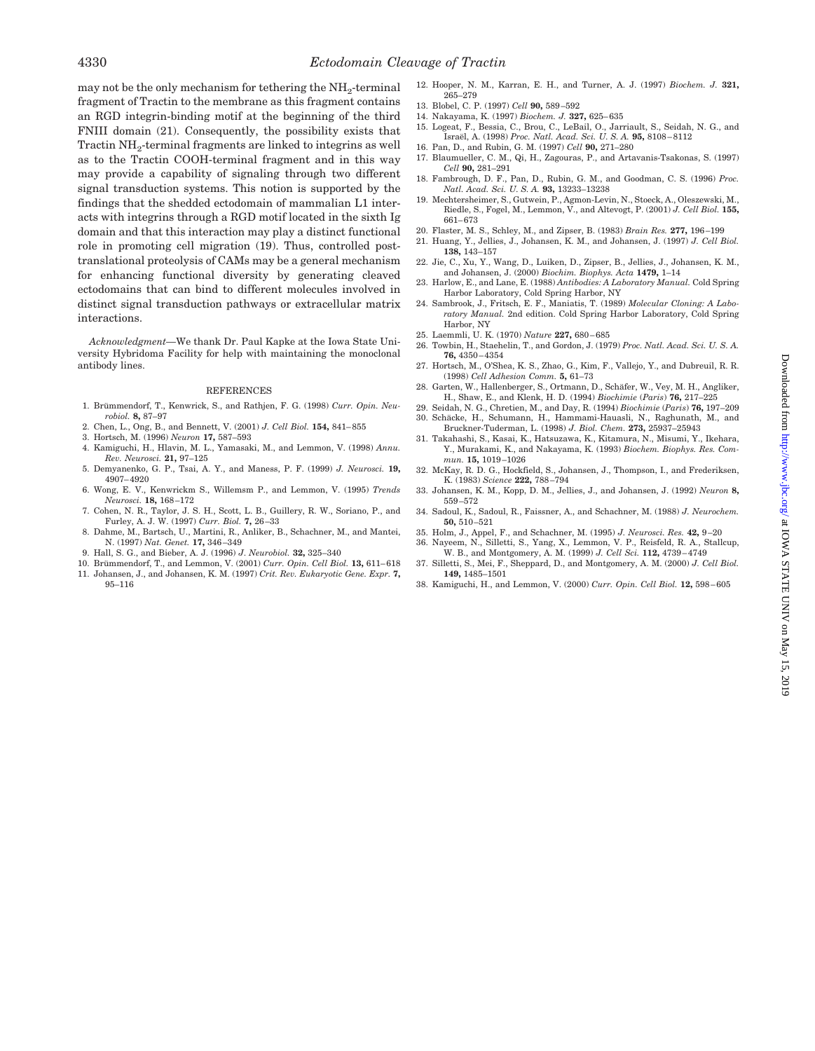may not be the only mechanism for tethering the  $NH<sub>2</sub>$ -terminal fragment of Tractin to the membrane as this fragment contains an RGD integrin-binding motif at the beginning of the third FNIII domain (21). Consequently, the possibility exists that Tractin NH<sub>2</sub>-terminal fragments are linked to integrins as well as to the Tractin COOH-terminal fragment and in this way may provide a capability of signaling through two different signal transduction systems. This notion is supported by the findings that the shedded ectodomain of mammalian L1 interacts with integrins through a RGD motif located in the sixth Ig domain and that this interaction may play a distinct functional role in promoting cell migration (19). Thus, controlled posttranslational proteolysis of CAMs may be a general mechanism for enhancing functional diversity by generating cleaved ectodomains that can bind to different molecules involved in distinct signal transduction pathways or extracellular matrix interactions.

*Acknowledgment—*We thank Dr. Paul Kapke at the Iowa State University Hybridoma Facility for help with maintaining the monoclonal antibody lines.

#### REFERENCES

- 1. Brümmendorf, T., Kenwrick, S., and Rathjen, F. G. (1998) *Curr. Opin. Neurobiol.* **8,** 87–97
- 2. Chen, L., Ong, B., and Bennett, V. (2001) *J. Cell Biol.* **154,** 841–855
- 3. Hortsch, M. (1996) *Neuron* **17,** 587–593
- 4. Kamiguchi, H., Hlavin, M. L., Yamasaki, M., and Lemmon, V. (1998) *Annu. Rev. Neurosci.* **21,** 97–125 5. Demyanenko, G. P., Tsai, A. Y., and Maness, P. F. (1999) *J. Neurosci.* **19,**
- 4907–4920
- 6. Wong, E. V., Kenwrickm S., Willemsm P., and Lemmon, V. (1995) *Trends Neurosci.* **18,** 168–172
- 7. Cohen, N. R., Taylor, J. S. H., Scott, L. B., Guillery, R. W., Soriano, P., and Furley, A. J. W. (1997) *Curr. Biol.* **7,** 26–33
- 8. Dahme, M., Bartsch, U., Martini, R., Anliker, B., Schachner, M., and Mantei, N. (1997) *Nat. Genet.* **17,** 346–349
- 9. Hall, S. G., and Bieber, A. J. (1996) *J*. *Neurobiol.* **32,** 325–340
- 10. Bru¨mmendorf, T., and Lemmon, V. (2001) *Curr. Opin. Cell Biol.* **13,** 611–618
- 11. Johansen, J., and Johansen, K. M. (1997) *Crit. Rev. Eukaryotic Gene. Expr.* **7,** 95–116
- 12. Hooper, N. M., Karran, E. H., and Turner, A. J. (1997) *Biochem. J.* **321,** 265–279
- 13. Blobel, C. P. (1997) *Cell* **90,** 589–592
- 14. Nakayama, K. (1997) *Biochem. J.* **327,** 625–635
- 15. Logeat, F., Bessia, C., Brou, C., LeBail, O., Jarriault, S., Seidah, N. G., and Israël, A. (1998) Proc. Natl. Acad. Sci. U. S. A. 95, 8108-8112
- 16. Pan, D., and Rubin, G. M. (1997) *Cell* **90,** 271–280
- 17. Blaumueller, C. M., Qi, H., Zagouras, P., and Artavanis-Tsakonas, S. (1997) *Cell* **90,** 281–291
- 18. Fambrough, D. F., Pan, D., Rubin, G. M., and Goodman, C. S. (1996) *Proc. Natl. Acad. Sci. U. S. A.* **93,** 13233–13238
- 19. Mechtersheimer, S., Gutwein, P., Agmon-Levin, N., Stoeck, A., Oleszewski, M., Riedle, S., Fogel, M., Lemmon, V., and Altevogt, P. (2001) *J. Cell Biol.* **155,** 661–673
- 20. Flaster, M. S., Schley, M., and Zipser, B. (1983) *Brain Res.* **277,** 196–199
- 21. Huang, Y., Jellies, J., Johansen, K. M., and Johansen, J. (1997) *J. Cell Biol.* **138,** 143–157
- 22. Jie, C., Xu, Y., Wang, D., Luiken, D., Zipser, B., Jellies, J., Johansen, K. M., and Johansen, J. (2000) *Biochim. Biophys. Acta* **1479,** 1–14
- 23. Harlow, E., and Lane, E. (1988) *Antibodies: A Laboratory Manual.* Cold Spring Harbor Laboratory, Cold Spring Harbor, NY
- 24. Sambrook, J., Fritsch, E. F., Maniatis, T. (1989) *Molecular Cloning: A Laboratory Manual.* 2nd edition. Cold Spring Harbor Laboratory, Cold Spring Harbor, NY
- 25. Laemmli, U. K. (1970) *Nature* **227,** 680–685
- 26. Towbin, H., Staehelin, T., and Gordon, J. (1979) *Proc. Natl. Acad. Sci. U. S. A.* **76,** 4350–4354
- 27. Hortsch, M., O'Shea, K. S., Zhao, G., Kim, F., Vallejo, Y., and Dubreuil, R. R. (1998) *Cell Adhesion Comm.* **5,** 61–73
- 28. Garten, W., Hallenberger, S., Ortmann, D., Schäfer, W., Vey, M. H., Angliker, H., Shaw, E., and Klenk, H. D. (1994) *Biochimie* (*Paris*) **76,** 217–225
- 29. Seidah, N. G., Chretien, M., and Day, R. (1994) *Biochimie* (*Paris*) **76,** 197–209
- 30. Schäcke, H., Schumann, H., Hammami-Hauasli, N., Raghunath, M., and Bruckner-Tuderman, L. (1998) *J. Biol. Chem.* **273,** 25937–25943
- 31. Takahashi, S., Kasai, K., Hatsuzawa, K., Kitamura, N., Misumi, Y., Ikehara, Y., Murakami, K., and Nakayama, K. (1993) *Biochem. Biophys. Res. Commun.* **15,** 1019–1026
- 32. McKay, R. D. G., Hockfield, S., Johansen, J., Thompson, I., and Frederiksen, K. (1983) *Science* **222,** 788–794
- 33. Johansen, K. M., Kopp, D. M., Jellies, J., and Johansen, J. (1992) *Neuron* **8,** 559–572
- 34. Sadoul, K., Sadoul, R., Faissner, A., and Schachner, M. (1988) *J. Neurochem.* **50,** 510–521
- 35. Holm, J., Appel, F., and Schachner, M. (1995) *J. Neurosci. Res.* **42,** 9–20
- 36. Nayeem, N., Silletti, S., Yang, X., Lemmon, V. P., Reisfeld, R. A., Stallcup, W. B., and Montgomery, A. M. (1999) *J. Cell Sci.* **112,** 4739–4749
- 37. Silletti, S., Mei, F., Sheppard, D., and Montgomery, A. M. (2000) *J. Cell Biol.* **149,** 1485–1501
- 38. Kamiguchi, H., and Lemmon, V. (2000) *Curr. Opin. Cell Biol.* **12,** 598–605